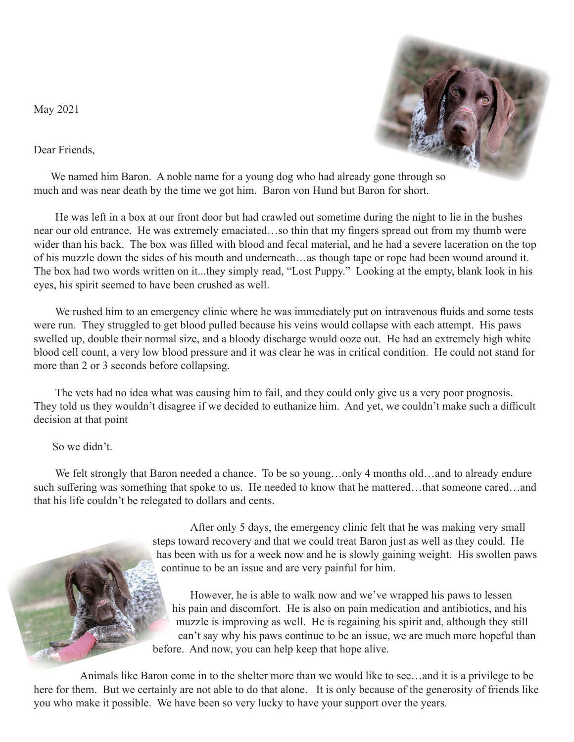May 2021

Dear Friends,



We named him Baron. A noble name for a young dog who had already gone through so much and was near death by the time we got him. Baron von Hund but Baron for short.

 He was left in a box at our front door but had crawled out sometime during the night to lie in the bushes near our old entrance. He was extremely emaciated…so thin that my fingers spread out from my thumb were wider than his back. The box was filled with blood and fecal material, and he had a severe laceration on the top of his muzzle down the sides of his mouth and underneath…as though tape or rope had been wound around it. The box had two words written on it...they simply read, "Lost Puppy." Looking at the empty, blank look in his eyes, his spirit seemed to have been crushed as well.

 We rushed him to an emergency clinic where he was immediately put on intravenous fluids and some tests were run. They struggled to get blood pulled because his veins would collapse with each attempt. His paws swelled up, double their normal size, and a bloody discharge would ooze out. He had an extremely high white blood cell count, a very low blood pressure and it was clear he was in critical condition. He could not stand for more than 2 or 3 seconds before collapsing.

 The vets had no idea what was causing him to fail, and they could only give us a very poor prognosis. They told us they wouldn't disagree if we decided to euthanize him. And yet, we couldn't make such a difficult decision at that point

So we didn't.

We felt strongly that Baron needed a chance. To be so young...only 4 months old...and to already endure such suffering was something that spoke to us. He needed to know that he mattered...that someone cared...and that his life couldn't be relegated to dollars and cents.

> After only 5 days, the emergency clinic felt that he was making very small steps toward recovery and that we could treat Baron just as well as they could. He has been with us for a week now and he is slowly gaining weight. His swollen paws continue to be an issue and are very painful for him.

> However, he is able to walk now and we've wrapped his paws to lessen his pain and discomfort. He is also on pain medication and antibiotics, and his muzzle is improving as well. He is regaining his spirit and, although they still can't say why his paws continue to be an issue, we are much more hopeful than before. And now, you can help keep that hope alive.

 Animals like Baron come in to the shelter more than we would like to see…and it is a privilege to be here for them. But we certainly are not able to do that alone. It is only because of the generosity of friends like you who make it possible. We have been so very lucky to have your support over the years.